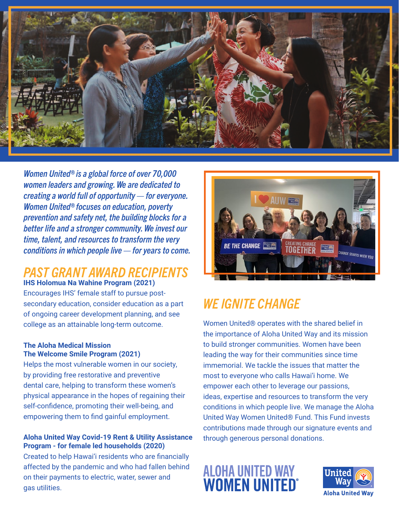

*Women United® is a global force of over 70,000 women leaders and growing. We are dedicated to creating a world full of opportunity — for everyone. Women United® focuses on education, poverty prevention and safety net, the building blocks for a better life and a stronger community. We invest our time, talent, and resources to transform the very conditions in which people live — for years to come.*

### *PAST GRANT AWARD RECIPIENTS*  **IHS Holomua Na Wahine Program (2021)**

Encourages IHS' female staff to pursue postsecondary education, consider education as a part of ongoing career development planning, and see college as an attainable long-term outcome.

### **The Aloha Medical Mission The Welcome Smile Program (2021)**

Helps the most vulnerable women in our society, by providing free restorative and preventive dental care, helping to transform these women's physical appearance in the hopes of regaining their self-confidence, promoting their well-being, and empowering them to find gainful employment.

### **Aloha United Way Covid-19 Rent & Utility Assistance Program - for female led households (2020)**

Created to help Hawai'i residents who are financially affected by the pandemic and who had fallen behind on their payments to electric, water, sewer and gas utilities.



# *WE IGNITE CHANGE*

Women United® operates with the shared belief in the importance of Aloha United Way and its mission to build stronger communities. Women have been leading the way for their communities since time immemorial. We tackle the issues that matter the most to everyone who calls Hawai'i home. We empower each other to leverage our passions, ideas, expertise and resources to transform the very conditions in which people live. We manage the Aloha United Way Women United® Fund. This Fund invests contributions made through our signature events and through generous personal donations.